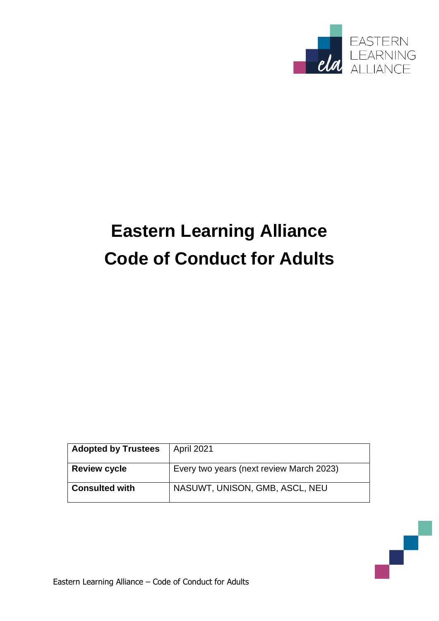

# **Eastern Learning Alliance Code of Conduct for Adults**

| <b>Adopted by Trustees</b> | April 2021                               |
|----------------------------|------------------------------------------|
| <b>Review cycle</b>        | Every two years (next review March 2023) |
| <b>Consulted with</b>      | NASUWT, UNISON, GMB, ASCL, NEU           |

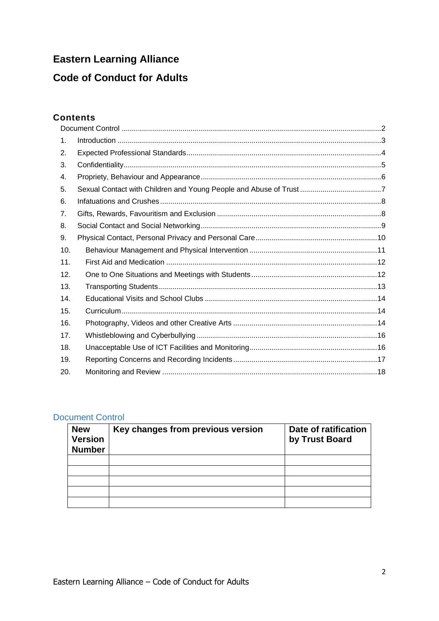## **Eastern Learning Alliance**

### **Code of Conduct for Adults**

#### **Contents**

| 1.  |  |  |
|-----|--|--|
| 2.  |  |  |
| 3.  |  |  |
| 4.  |  |  |
| 5.  |  |  |
| 6.  |  |  |
| 7.  |  |  |
| 8.  |  |  |
| 9.  |  |  |
| 10. |  |  |
| 11. |  |  |
| 12. |  |  |
| 13. |  |  |
| 14. |  |  |
| 15. |  |  |
| 16. |  |  |
| 17. |  |  |
| 18. |  |  |
| 19. |  |  |
| 20. |  |  |

#### Document Control

| <b>New</b><br><b>Version</b><br><b>Number</b> | Key changes from previous version | Date of ratification<br>by Trust Board |
|-----------------------------------------------|-----------------------------------|----------------------------------------|
|                                               |                                   |                                        |
|                                               |                                   |                                        |
|                                               |                                   |                                        |
|                                               |                                   |                                        |
|                                               |                                   |                                        |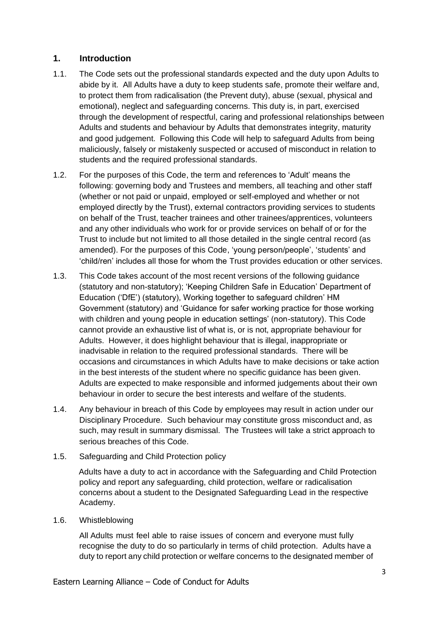#### <span id="page-2-0"></span>**1. Introduction**

- 1.1. The Code sets out the professional standards expected and the duty upon Adults to abide by it. All Adults have a duty to keep students safe, promote their welfare and, to protect them from radicalisation (the Prevent duty), abuse (sexual, physical and emotional), neglect and safeguarding concerns. This duty is, in part, exercised through the development of respectful, caring and professional relationships between Adults and students and behaviour by Adults that demonstrates integrity, maturity and good judgement. Following this Code will help to safeguard Adults from being maliciously, falsely or mistakenly suspected or accused of misconduct in relation to students and the required professional standards.
- 1.2. For the purposes of this Code, the term and references to 'Adult' means the following: governing body and Trustees and members, all teaching and other staff (whether or not paid or unpaid, employed or self-employed and whether or not employed directly by the Trust), external contractors providing services to students on behalf of the Trust, teacher trainees and other trainees/apprentices, volunteers and any other individuals who work for or provide services on behalf of or for the Trust to include but not limited to all those detailed in the single central record (as amended). For the purposes of this Code, 'young person/people', 'students' and 'child/ren' includes all those for whom the Trust provides education or other services.
- 1.3. This Code takes account of the most recent versions of the following guidance (statutory and non-statutory); 'Keeping Children Safe in Education' Department of Education ('DfE') (statutory), Working together to safeguard children' HM Government (statutory) and 'Guidance for safer working practice for those working with children and young people in education settings' (non-statutory). This Code cannot provide an exhaustive list of what is, or is not, appropriate behaviour for Adults. However, it does highlight behaviour that is illegal, inappropriate or inadvisable in relation to the required professional standards. There will be occasions and circumstances in which Adults have to make decisions or take action in the best interests of the student where no specific guidance has been given. Adults are expected to make responsible and informed judgements about their own behaviour in order to secure the best interests and welfare of the students.
- 1.4. Any behaviour in breach of this Code by employees may result in action under our Disciplinary Procedure. Such behaviour may constitute gross misconduct and, as such, may result in summary dismissal. The Trustees will take a strict approach to serious breaches of this Code.
- 1.5. Safeguarding and Child Protection policy

Adults have a duty to act in accordance with the Safeguarding and Child Protection policy and report any safeguarding, child protection, welfare or radicalisation concerns about a student to the Designated Safeguarding Lead in the respective Academy.

1.6. Whistleblowing

All Adults must feel able to raise issues of concern and everyone must fully recognise the duty to do so particularly in terms of child protection. Adults have a duty to report any child protection or welfare concerns to the designated member of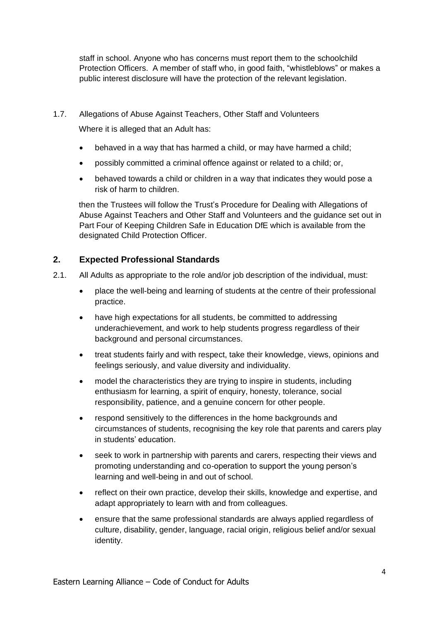staff in school. Anyone who has concerns must report them to the schoolchild Protection Officers. A member of staff who, in good faith, "whistleblows" or makes a public interest disclosure will have the protection of the relevant legislation.

1.7. Allegations of Abuse Against Teachers, Other Staff and Volunteers

Where it is alleged that an Adult has:

- behaved in a way that has harmed a child, or may have harmed a child;
- possibly committed a criminal offence against or related to a child; or,
- behaved towards a child or children in a way that indicates they would pose a risk of harm to children.

then the Trustees will follow the Trust's Procedure for Dealing with Allegations of Abuse Against Teachers and Other Staff and Volunteers and the guidance set out in Part Four of Keeping Children Safe in Education DfE which is available from the designated Child Protection Officer.

#### <span id="page-3-0"></span>**2. Expected Professional Standards**

- 2.1. All Adults as appropriate to the role and/or job description of the individual, must:
	- place the well-being and learning of students at the centre of their professional practice.
	- have high expectations for all students, be committed to addressing underachievement, and work to help students progress regardless of their background and personal circumstances.
	- treat students fairly and with respect, take their knowledge, views, opinions and feelings seriously, and value diversity and individuality.
	- model the characteristics they are trying to inspire in students, including enthusiasm for learning, a spirit of enquiry, honesty, tolerance, social responsibility, patience, and a genuine concern for other people.
	- respond sensitively to the differences in the home backgrounds and circumstances of students, recognising the key role that parents and carers play in students' education.
	- seek to work in partnership with parents and carers, respecting their views and promoting understanding and co-operation to support the young person's learning and well-being in and out of school.
	- reflect on their own practice, develop their skills, knowledge and expertise, and adapt appropriately to learn with and from colleagues.
	- ensure that the same professional standards are always applied regardless of culture, disability, gender, language, racial origin, religious belief and/or sexual identity.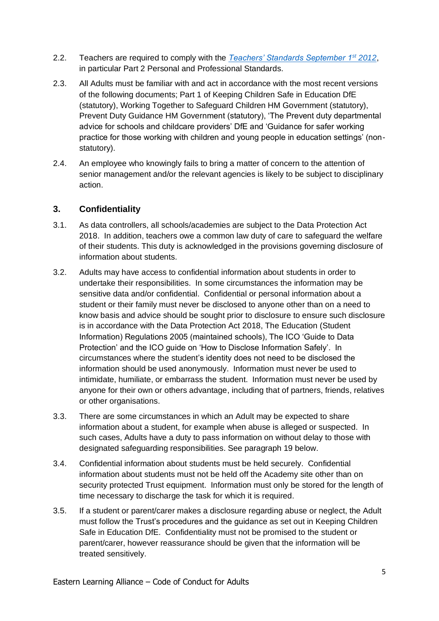- 2.2. Teachers are required to comply with the *[Teachers' Standards September 1](https://www.gov.uk/government/uploads/system/uploads/attachment_data/file/301107/Teachers__Standards.pdf)st 2012*, in particular Part 2 Personal and Professional Standards.
- 2.3. All Adults must be familiar with and act in accordance with the most recent versions of the following documents; Part 1 of Keeping Children Safe in Education DfE (statutory), Working Together to Safeguard Children HM Government (statutory), Prevent Duty Guidance HM Government (statutory), 'The Prevent duty departmental advice for schools and childcare providers' DfE and 'Guidance for safer working practice for those working with children and young people in education settings' (nonstatutory).
- 2.4. An employee who knowingly fails to bring a matter of concern to the attention of senior management and/or the relevant agencies is likely to be subject to disciplinary action.

#### <span id="page-4-0"></span>**3. Confidentiality**

- 3.1. As data controllers, all schools/academies are subject to the Data Protection Act 2018. In addition, teachers owe a common law duty of care to safeguard the welfare of their students. This duty is acknowledged in the provisions governing disclosure of information about students.
- 3.2. Adults may have access to confidential information about students in order to undertake their responsibilities. In some circumstances the information may be sensitive data and/or confidential. Confidential or personal information about a student or their family must never be disclosed to anyone other than on a need to know basis and advice should be sought prior to disclosure to ensure such disclosure is in accordance with the Data Protection Act 2018, The Education (Student Information) Regulations 2005 (maintained schools), The ICO 'Guide to Data Protection' and the ICO guide on 'How to Disclose Information Safely'. In circumstances where the student's identity does not need to be disclosed the information should be used anonymously. Information must never be used to intimidate, humiliate, or embarrass the student. Information must never be used by anyone for their own or others advantage, including that of partners, friends, relatives or other organisations.
- 3.3. There are some circumstances in which an Adult may be expected to share information about a student, for example when abuse is alleged or suspected. In such cases, Adults have a duty to pass information on without delay to those with designated safeguarding responsibilities. See paragraph 19 below.
- 3.4. Confidential information about students must be held securely. Confidential information about students must not be held off the Academy site other than on security protected Trust equipment. Information must only be stored for the length of time necessary to discharge the task for which it is required.
- 3.5. If a student or parent/carer makes a disclosure regarding abuse or neglect, the Adult must follow the Trust's procedures and the guidance as set out in Keeping Children Safe in Education DfE. Confidentiality must not be promised to the student or parent/carer, however reassurance should be given that the information will be treated sensitively.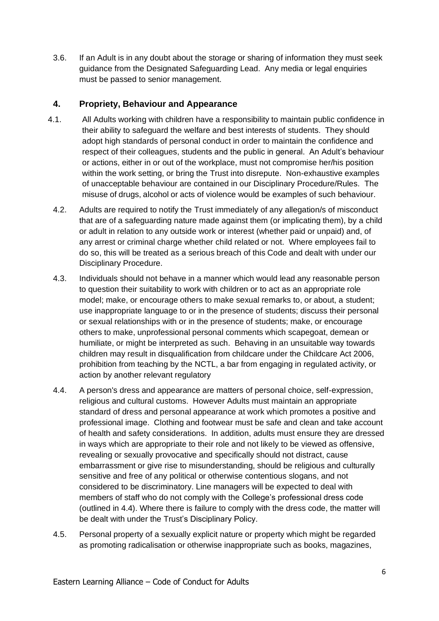3.6. If an Adult is in any doubt about the storage or sharing of information they must seek guidance from the Designated Safeguarding Lead. Any media or legal enquiries must be passed to senior management.

#### <span id="page-5-0"></span>**4. Propriety, Behaviour and Appearance**

- 4.1. All Adults working with children have a responsibility to maintain public confidence in their ability to safeguard the welfare and best interests of students. They should adopt high standards of personal conduct in order to maintain the confidence and respect of their colleagues, students and the public in general. An Adult's behaviour or actions, either in or out of the workplace, must not compromise her/his position within the work setting, or bring the Trust into disrepute. Non-exhaustive examples of unacceptable behaviour are contained in our Disciplinary Procedure/Rules. The misuse of drugs, alcohol or acts of violence would be examples of such behaviour.
	- 4.2. Adults are required to notify the Trust immediately of any allegation/s of misconduct that are of a safeguarding nature made against them (or implicating them), by a child or adult in relation to any outside work or interest (whether paid or unpaid) and, of any arrest or criminal charge whether child related or not. Where employees fail to do so, this will be treated as a serious breach of this Code and dealt with under our Disciplinary Procedure.
	- 4.3. Individuals should not behave in a manner which would lead any reasonable person to question their suitability to work with children or to act as an appropriate role model; make, or encourage others to make sexual remarks to, or about, a student; use inappropriate language to or in the presence of students; discuss their personal or sexual relationships with or in the presence of students; make, or encourage others to make, unprofessional personal comments which scapegoat, demean or humiliate, or might be interpreted as such. Behaving in an unsuitable way towards children may result in disqualification from childcare under the Childcare Act 2006, prohibition from teaching by the NCTL, a bar from engaging in regulated activity, or action by another relevant regulatory
	- 4.4. A person's dress and appearance are matters of personal choice, self-expression, religious and cultural customs. However Adults must maintain an appropriate standard of dress and personal appearance at work which promotes a positive and professional image. Clothing and footwear must be safe and clean and take account of health and safety considerations. In addition, adults must ensure they are dressed in ways which are appropriate to their role and not likely to be viewed as offensive, revealing or sexually provocative and specifically should not distract, cause embarrassment or give rise to misunderstanding, should be religious and culturally sensitive and free of any political or otherwise contentious slogans, and not considered to be discriminatory. Line managers will be expected to deal with members of staff who do not comply with the College's professional dress code (outlined in 4.4). Where there is failure to comply with the dress code, the matter will be dealt with under the Trust's Disciplinary Policy.
	- 4.5. Personal property of a sexually explicit nature or property which might be regarded as promoting radicalisation or otherwise inappropriate such as books, magazines,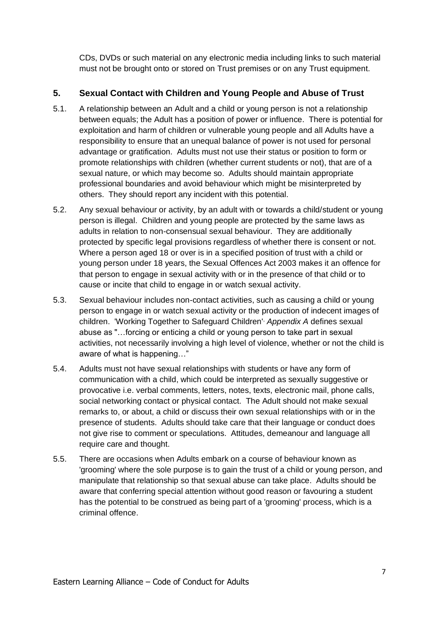CDs, DVDs or such material on any electronic media including links to such material must not be brought onto or stored on Trust premises or on any Trust equipment.

#### <span id="page-6-0"></span>**5. Sexual Contact with Children and Young People and Abuse of Trust**

- 5.1. A relationship between an Adult and a child or young person is not a relationship between equals; the Adult has a position of power or influence. There is potential for exploitation and harm of children or vulnerable young people and all Adults have a responsibility to ensure that an unequal balance of power is not used for personal advantage or gratification. Adults must not use their status or position to form or promote relationships with children (whether current students or not), that are of a sexual nature, or which may become so. Adults should maintain appropriate professional boundaries and avoid behaviour which might be misinterpreted by others. They should report any incident with this potential.
- 5.2. Any sexual behaviour or activity, by an adult with or towards a child/student or young person is illegal. Children and young people are protected by the same laws as adults in relation to non-consensual sexual behaviour. They are additionally protected by specific legal provisions regardless of whether there is consent or not. Where a person aged 18 or over is in a specified position of trust with a child or young person under 18 years, the Sexual Offences Act 2003 makes it an offence for that person to engage in sexual activity with or in the presence of that child or to cause or incite that child to engage in or watch sexual activity.
- 5.3. Sexual behaviour includes non-contact activities, such as causing a child or young person to engage in or watch sexual activity or the production of indecent images of children. 'Working Together to Safeguard Children', *Appendix A* defines sexual abuse as "…forcing or enticing a child or young person to take part in sexual activities, not necessarily involving a high level of violence, whether or not the child is aware of what is happening…"
- 5.4. Adults must not have sexual relationships with students or have any form of communication with a child, which could be interpreted as sexually suggestive or provocative i.e. verbal comments, letters, notes, texts, electronic mail, phone calls, social networking contact or physical contact. The Adult should not make sexual remarks to, or about, a child or discuss their own sexual relationships with or in the presence of students. Adults should take care that their language or conduct does not give rise to comment or speculations. Attitudes, demeanour and language all require care and thought.
- 5.5. There are occasions when Adults embark on a course of behaviour known as 'grooming' where the sole purpose is to gain the trust of a child or young person, and manipulate that relationship so that sexual abuse can take place. Adults should be aware that conferring special attention without good reason or favouring a student has the potential to be construed as being part of a 'grooming' process, which is a criminal offence.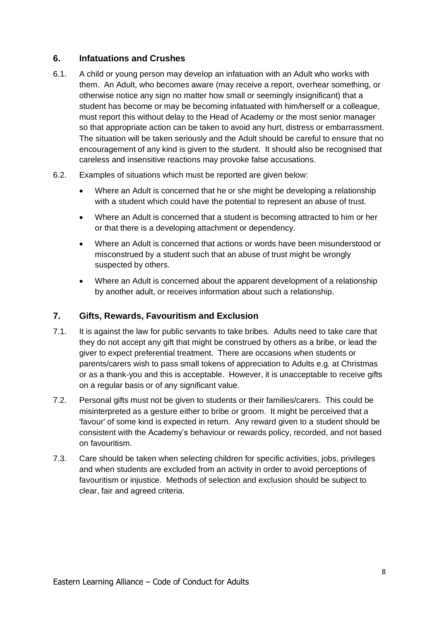#### <span id="page-7-0"></span>**6. Infatuations and Crushes**

- 6.1. A child or young person may develop an infatuation with an Adult who works with them. An Adult, who becomes aware (may receive a report, overhear something, or otherwise notice any sign no matter how small or seemingly insignificant) that a student has become or may be becoming infatuated with him/herself or a colleague, must report this without delay to the Head of Academy or the most senior manager so that appropriate action can be taken to avoid any hurt, distress or embarrassment. The situation will be taken seriously and the Adult should be careful to ensure that no encouragement of any kind is given to the student. It should also be recognised that careless and insensitive reactions may provoke false accusations.
- 6.2. Examples of situations which must be reported are given below:
	- Where an Adult is concerned that he or she might be developing a relationship with a student which could have the potential to represent an abuse of trust.
	- Where an Adult is concerned that a student is becoming attracted to him or her or that there is a developing attachment or dependency.
	- Where an Adult is concerned that actions or words have been misunderstood or misconstrued by a student such that an abuse of trust might be wrongly suspected by others.
	- Where an Adult is concerned about the apparent development of a relationship by another adult, or receives information about such a relationship.

#### <span id="page-7-1"></span>**7. Gifts, Rewards, Favouritism and Exclusion**

- 7.1. It is against the law for public servants to take bribes. Adults need to take care that they do not accept any gift that might be construed by others as a bribe, or lead the giver to expect preferential treatment. There are occasions when students or parents/carers wish to pass small tokens of appreciation to Adults e.g. at Christmas or as a thank-you and this is acceptable. However, it is unacceptable to receive gifts on a regular basis or of any significant value.
- 7.2. Personal gifts must not be given to students or their families/carers. This could be misinterpreted as a gesture either to bribe or groom. It might be perceived that a 'favour' of some kind is expected in return. Any reward given to a student should be consistent with the Academy's behaviour or rewards policy, recorded, and not based on favouritism.
- 7.3. Care should be taken when selecting children for specific activities, jobs, privileges and when students are excluded from an activity in order to avoid perceptions of favouritism or injustice. Methods of selection and exclusion should be subject to clear, fair and agreed criteria.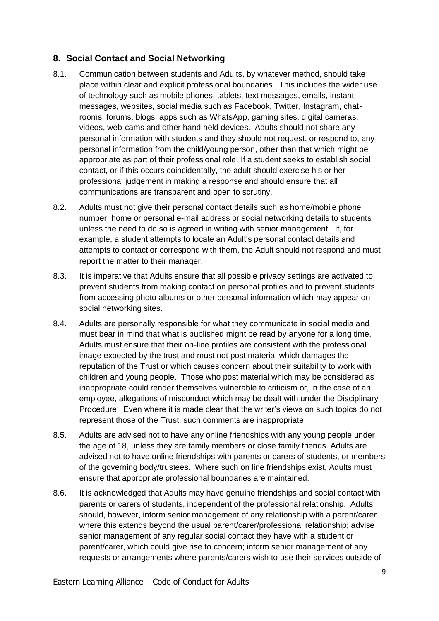#### <span id="page-8-0"></span>**8. Social Contact and Social Networking**

- 8.1. Communication between students and Adults, by whatever method, should take place within clear and explicit professional boundaries. This includes the wider use of technology such as mobile phones, tablets, text messages, emails, instant messages, websites, social media such as Facebook, Twitter, Instagram, chatrooms, forums, blogs, apps such as WhatsApp, gaming sites, digital cameras, videos, web-cams and other hand held devices. Adults should not share any personal information with students and they should not request, or respond to, any personal information from the child/young person, other than that which might be appropriate as part of their professional role. If a student seeks to establish social contact, or if this occurs coincidentally, the adult should exercise his or her professional judgement in making a response and should ensure that all communications are transparent and open to scrutiny.
- 8.2. Adults must not give their personal contact details such as home/mobile phone number; home or personal e-mail address or social networking details to students unless the need to do so is agreed in writing with senior management. If, for example, a student attempts to locate an Adult's personal contact details and attempts to contact or correspond with them, the Adult should not respond and must report the matter to their manager.
- 8.3. It is imperative that Adults ensure that all possible privacy settings are activated to prevent students from making contact on personal profiles and to prevent students from accessing photo albums or other personal information which may appear on social networking sites.
- 8.4. Adults are personally responsible for what they communicate in social media and must bear in mind that what is published might be read by anyone for a long time. Adults must ensure that their on-line profiles are consistent with the professional image expected by the trust and must not post material which damages the reputation of the Trust or which causes concern about their suitability to work with children and young people. Those who post material which may be considered as inappropriate could render themselves vulnerable to criticism or, in the case of an employee, allegations of misconduct which may be dealt with under the Disciplinary Procedure. Even where it is made clear that the writer's views on such topics do not represent those of the Trust, such comments are inappropriate.
- 8.5. Adults are advised not to have any online friendships with any young people under the age of 18, unless they are family members or close family friends. Adults are advised not to have online friendships with parents or carers of students, or members of the governing body/trustees. Where such on line friendships exist, Adults must ensure that appropriate professional boundaries are maintained.
- 8.6. It is acknowledged that Adults may have genuine friendships and social contact with parents or carers of students, independent of the professional relationship. Adults should, however, inform senior management of any relationship with a parent/carer where this extends beyond the usual parent/carer/professional relationship; advise senior management of any regular social contact they have with a student or parent/carer, which could give rise to concern; inform senior management of any requests or arrangements where parents/carers wish to use their services outside of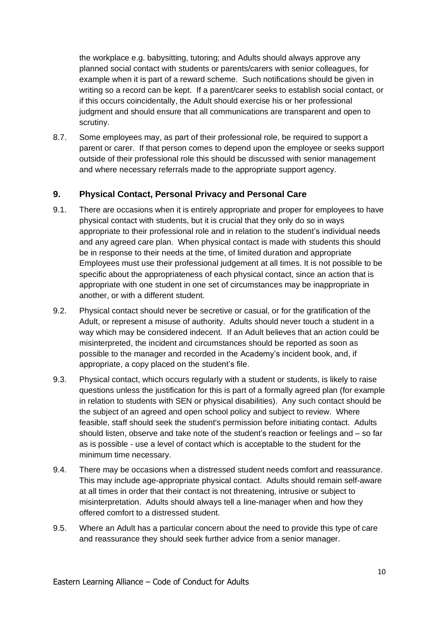the workplace e.g. babysitting, tutoring; and Adults should always approve any planned social contact with students or parents/carers with senior colleagues, for example when it is part of a reward scheme. Such notifications should be given in writing so a record can be kept. If a parent/carer seeks to establish social contact, or if this occurs coincidentally, the Adult should exercise his or her professional judgment and should ensure that all communications are transparent and open to scrutiny.

8.7. Some employees may, as part of their professional role, be required to support a parent or carer. If that person comes to depend upon the employee or seeks support outside of their professional role this should be discussed with senior management and where necessary referrals made to the appropriate support agency.

#### <span id="page-9-0"></span>**9. Physical Contact, Personal Privacy and Personal Care**

- 9.1. There are occasions when it is entirely appropriate and proper for employees to have physical contact with students, but it is crucial that they only do so in ways appropriate to their professional role and in relation to the student's individual needs and any agreed care plan. When physical contact is made with students this should be in response to their needs at the time, of limited duration and appropriate Employees must use their professional judgement at all times. It is not possible to be specific about the appropriateness of each physical contact, since an action that is appropriate with one student in one set of circumstances may be inappropriate in another, or with a different student.
- 9.2. Physical contact should never be secretive or casual, or for the gratification of the Adult, or represent a misuse of authority. Adults should never touch a student in a way which may be considered indecent. If an Adult believes that an action could be misinterpreted, the incident and circumstances should be reported as soon as possible to the manager and recorded in the Academy's incident book, and, if appropriate, a copy placed on the student's file.
- 9.3. Physical contact, which occurs regularly with a student or students, is likely to raise questions unless the justification for this is part of a formally agreed plan (for example in relation to students with SEN or physical disabilities). Any such contact should be the subject of an agreed and open school policy and subject to review. Where feasible, staff should seek the student's permission before initiating contact. Adults should listen, observe and take note of the student's reaction or feelings and – so far as is possible - use a level of contact which is acceptable to the student for the minimum time necessary.
- 9.4. There may be occasions when a distressed student needs comfort and reassurance. This may include age-appropriate physical contact. Adults should remain self-aware at all times in order that their contact is not threatening, intrusive or subject to misinterpretation. Adults should always tell a line-manager when and how they offered comfort to a distressed student.
- 9.5. Where an Adult has a particular concern about the need to provide this type of care and reassurance they should seek further advice from a senior manager.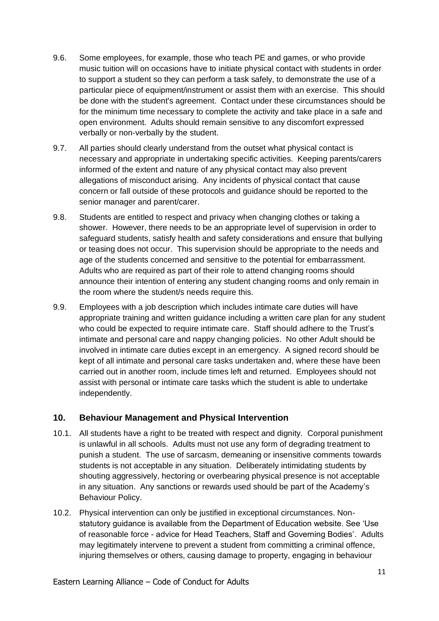- 9.6. Some employees, for example, those who teach PE and games, or who provide music tuition will on occasions have to initiate physical contact with students in order to support a student so they can perform a task safely, to demonstrate the use of a particular piece of equipment/instrument or assist them with an exercise. This should be done with the student's agreement. Contact under these circumstances should be for the minimum time necessary to complete the activity and take place in a safe and open environment. Adults should remain sensitive to any discomfort expressed verbally or non-verbally by the student.
- 9.7. All parties should clearly understand from the outset what physical contact is necessary and appropriate in undertaking specific activities. Keeping parents/carers informed of the extent and nature of any physical contact may also prevent allegations of misconduct arising. Any incidents of physical contact that cause concern or fall outside of these protocols and guidance should be reported to the senior manager and parent/carer.
- 9.8. Students are entitled to respect and privacy when changing clothes or taking a shower. However, there needs to be an appropriate level of supervision in order to safeguard students, satisfy health and safety considerations and ensure that bullying or teasing does not occur. This supervision should be appropriate to the needs and age of the students concerned and sensitive to the potential for embarrassment. Adults who are required as part of their role to attend changing rooms should announce their intention of entering any student changing rooms and only remain in the room where the student/s needs require this.
- 9.9. Employees with a job description which includes intimate care duties will have appropriate training and written guidance including a written care plan for any student who could be expected to require intimate care. Staff should adhere to the Trust's intimate and personal care and nappy changing policies. No other Adult should be involved in intimate care duties except in an emergency. A signed record should be kept of all intimate and personal care tasks undertaken and, where these have been carried out in another room, include times left and returned. Employees should not assist with personal or intimate care tasks which the student is able to undertake independently.

#### <span id="page-10-0"></span>**10. Behaviour Management and Physical Intervention**

- 10.1. All students have a right to be treated with respect and dignity. Corporal punishment is unlawful in all schools. Adults must not use any form of degrading treatment to punish a student. The use of sarcasm, demeaning or insensitive comments towards students is not acceptable in any situation. Deliberately intimidating students by shouting aggressively, hectoring or overbearing physical presence is not acceptable in any situation. Any sanctions or rewards used should be part of the Academy's Behaviour Policy.
- 10.2. Physical intervention can only be justified in exceptional circumstances. Nonstatutory guidance is available from the Department of Education website. See 'Use of reasonable force - advice for Head Teachers, Staff and Governing Bodies'. Adults may legitimately intervene to prevent a student from committing a criminal offence, injuring themselves or others, causing damage to property, engaging in behaviour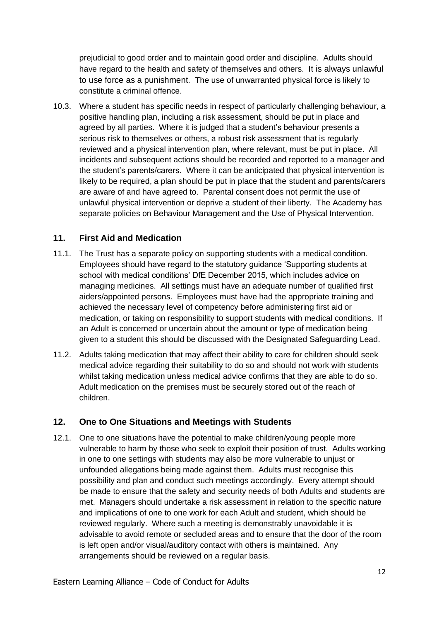prejudicial to good order and to maintain good order and discipline. Adults should have regard to the health and safety of themselves and others. It is always unlawful to use force as a punishment. The use of unwarranted physical force is likely to constitute a criminal offence.

10.3. Where a student has specific needs in respect of particularly challenging behaviour, a positive handling plan, including a risk assessment, should be put in place and agreed by all parties. Where it is judged that a student's behaviour presents a serious risk to themselves or others, a robust risk assessment that is regularly reviewed and a physical intervention plan, where relevant, must be put in place. All incidents and subsequent actions should be recorded and reported to a manager and the student's parents/carers. Where it can be anticipated that physical intervention is likely to be required, a plan should be put in place that the student and parents/carers are aware of and have agreed to. Parental consent does not permit the use of unlawful physical intervention or deprive a student of their liberty. The Academy has separate policies on Behaviour Management and the Use of Physical Intervention.

#### <span id="page-11-0"></span>**11. First Aid and Medication**

- 11.1. The Trust has a separate policy on supporting students with a medical condition. Employees should have regard to the statutory guidance 'Supporting students at school with medical conditions' DfE December 2015, which includes advice on managing medicines. All settings must have an adequate number of qualified first aiders/appointed persons. Employees must have had the appropriate training and achieved the necessary level of competency before administering first aid or medication, or taking on responsibility to support students with medical conditions. If an Adult is concerned or uncertain about the amount or type of medication being given to a student this should be discussed with the Designated Safeguarding Lead.
- 11.2. Adults taking medication that may affect their ability to care for children should seek medical advice regarding their suitability to do so and should not work with students whilst taking medication unless medical advice confirms that they are able to do so. Adult medication on the premises must be securely stored out of the reach of children.

#### <span id="page-11-1"></span>**12. One to One Situations and Meetings with Students**

12.1. One to one situations have the potential to make children/young people more vulnerable to harm by those who seek to exploit their position of trust. Adults working in one to one settings with students may also be more vulnerable to unjust or unfounded allegations being made against them. Adults must recognise this possibility and plan and conduct such meetings accordingly. Every attempt should be made to ensure that the safety and security needs of both Adults and students are met. Managers should undertake a risk assessment in relation to the specific nature and implications of one to one work for each Adult and student, which should be reviewed regularly. Where such a meeting is demonstrably unavoidable it is advisable to avoid remote or secluded areas and to ensure that the door of the room is left open and/or visual/auditory contact with others is maintained. Any arrangements should be reviewed on a regular basis.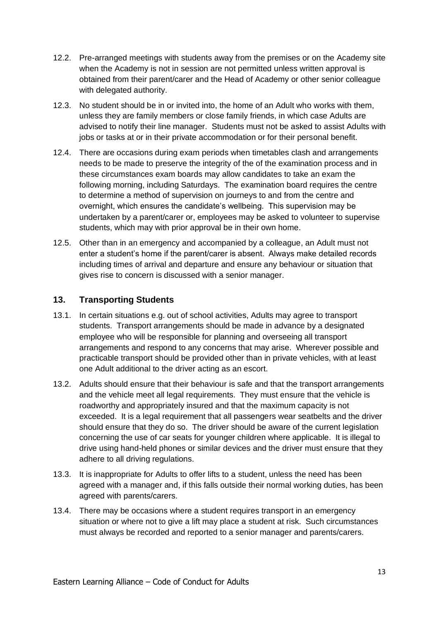- 12.2. Pre-arranged meetings with students away from the premises or on the Academy site when the Academy is not in session are not permitted unless written approval is obtained from their parent/carer and the Head of Academy or other senior colleague with delegated authority.
- 12.3. No student should be in or invited into, the home of an Adult who works with them, unless they are family members or close family friends, in which case Adults are advised to notify their line manager. Students must not be asked to assist Adults with jobs or tasks at or in their private accommodation or for their personal benefit.
- 12.4. There are occasions during exam periods when timetables clash and arrangements needs to be made to preserve the integrity of the of the examination process and in these circumstances exam boards may allow candidates to take an exam the following morning, including Saturdays. The examination board requires the centre to determine a method of supervision on journeys to and from the centre and overnight, which ensures the candidate's wellbeing. This supervision may be undertaken by a parent/carer or, employees may be asked to volunteer to supervise students, which may with prior approval be in their own home.
- 12.5. Other than in an emergency and accompanied by a colleague, an Adult must not enter a student's home if the parent/carer is absent. Always make detailed records including times of arrival and departure and ensure any behaviour or situation that gives rise to concern is discussed with a senior manager.

#### <span id="page-12-0"></span>**13. Transporting Students**

- 13.1. In certain situations e.g. out of school activities, Adults may agree to transport students. Transport arrangements should be made in advance by a designated employee who will be responsible for planning and overseeing all transport arrangements and respond to any concerns that may arise. Wherever possible and practicable transport should be provided other than in private vehicles, with at least one Adult additional to the driver acting as an escort.
- 13.2. Adults should ensure that their behaviour is safe and that the transport arrangements and the vehicle meet all legal requirements. They must ensure that the vehicle is roadworthy and appropriately insured and that the maximum capacity is not exceeded. It is a legal requirement that all passengers wear seatbelts and the driver should ensure that they do so. The driver should be aware of the current legislation concerning the use of car seats for younger children where applicable. It is illegal to drive using hand-held phones or similar devices and the driver must ensure that they adhere to all driving regulations.
- 13.3. It is inappropriate for Adults to offer lifts to a student, unless the need has been agreed with a manager and, if this falls outside their normal working duties, has been agreed with parents/carers.
- 13.4. There may be occasions where a student requires transport in an emergency situation or where not to give a lift may place a student at risk. Such circumstances must always be recorded and reported to a senior manager and parents/carers.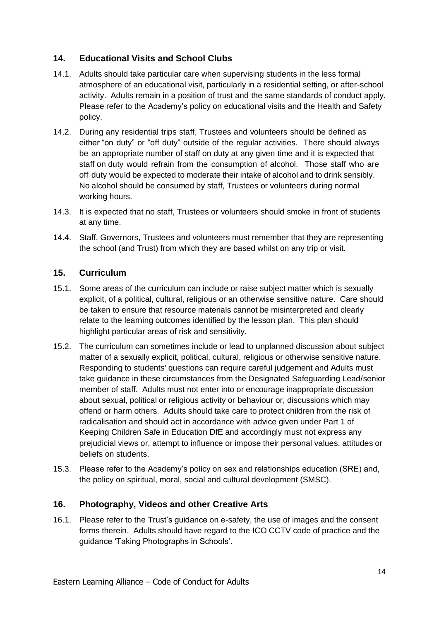#### <span id="page-13-0"></span>**14. Educational Visits and School Clubs**

- 14.1. Adults should take particular care when supervising students in the less formal atmosphere of an educational visit, particularly in a residential setting, or after-school activity. Adults remain in a position of trust and the same standards of conduct apply. Please refer to the Academy's policy on educational visits and the Health and Safety policy.
- 14.2. During any residential trips staff, Trustees and volunteers should be defined as either "on duty" or "off duty" outside of the regular activities. There should always be an appropriate number of staff on duty at any given time and it is expected that staff on duty would refrain from the consumption of alcohol. Those staff who are off duty would be expected to moderate their intake of alcohol and to drink sensibly. No alcohol should be consumed by staff, Trustees or volunteers during normal working hours.
- 14.3. It is expected that no staff, Trustees or volunteers should smoke in front of students at any time.
- 14.4. Staff, Governors, Trustees and volunteers must remember that they are representing the school (and Trust) from which they are based whilst on any trip or visit.

#### <span id="page-13-1"></span>**15. Curriculum**

- 15.1. Some areas of the curriculum can include or raise subject matter which is sexually explicit, of a political, cultural, religious or an otherwise sensitive nature. Care should be taken to ensure that resource materials cannot be misinterpreted and clearly relate to the learning outcomes identified by the lesson plan. This plan should highlight particular areas of risk and sensitivity.
- 15.2. The curriculum can sometimes include or lead to unplanned discussion about subject matter of a sexually explicit, political, cultural, religious or otherwise sensitive nature. Responding to students' questions can require careful judgement and Adults must take guidance in these circumstances from the Designated Safeguarding Lead/senior member of staff. Adults must not enter into or encourage inappropriate discussion about sexual, political or religious activity or behaviour or, discussions which may offend or harm others. Adults should take care to protect children from the risk of radicalisation and should act in accordance with advice given under Part 1 of Keeping Children Safe in Education DfE and accordingly must not express any prejudicial views or, attempt to influence or impose their personal values, attitudes or beliefs on students.
- 15.3. Please refer to the Academy's policy on sex and relationships education (SRE) and, the policy on spiritual, moral, social and cultural development (SMSC).

#### <span id="page-13-2"></span>**16. Photography, Videos and other Creative Arts**

16.1. Please refer to the Trust's guidance on e-safety, the use of images and the consent forms therein. Adults should have regard to the ICO CCTV code of practice and the guidance 'Taking Photographs in Schools'.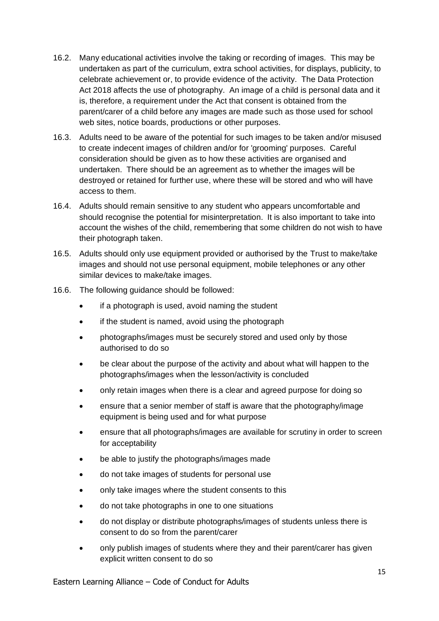- 16.2. Many educational activities involve the taking or recording of images. This may be undertaken as part of the curriculum, extra school activities, for displays, publicity, to celebrate achievement or, to provide evidence of the activity. The Data Protection Act 2018 affects the use of photography. An image of a child is personal data and it is, therefore, a requirement under the Act that consent is obtained from the parent/carer of a child before any images are made such as those used for school web sites, notice boards, productions or other purposes.
- 16.3. Adults need to be aware of the potential for such images to be taken and/or misused to create indecent images of children and/or for 'grooming' purposes. Careful consideration should be given as to how these activities are organised and undertaken. There should be an agreement as to whether the images will be destroyed or retained for further use, where these will be stored and who will have access to them.
- 16.4. Adults should remain sensitive to any student who appears uncomfortable and should recognise the potential for misinterpretation. It is also important to take into account the wishes of the child, remembering that some children do not wish to have their photograph taken.
- 16.5. Adults should only use equipment provided or authorised by the Trust to make/take images and should not use personal equipment, mobile telephones or any other similar devices to make/take images.
- 16.6. The following guidance should be followed:
	- if a photograph is used, avoid naming the student
	- if the student is named, avoid using the photograph
	- photographs/images must be securely stored and used only by those authorised to do so
	- be clear about the purpose of the activity and about what will happen to the photographs/images when the lesson/activity is concluded
	- only retain images when there is a clear and agreed purpose for doing so
	- ensure that a senior member of staff is aware that the photography/image equipment is being used and for what purpose
	- ensure that all photographs/images are available for scrutiny in order to screen for acceptability
	- be able to justify the photographs/images made
	- do not take images of students for personal use
	- only take images where the student consents to this
	- do not take photographs in one to one situations
	- do not display or distribute photographs/images of students unless there is consent to do so from the parent/carer
	- only publish images of students where they and their parent/carer has given explicit written consent to do so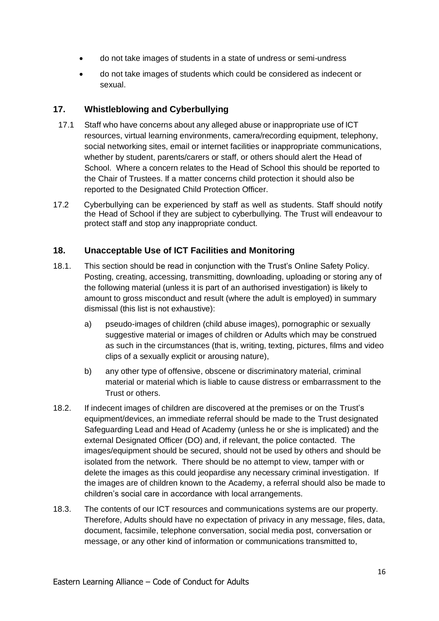- do not take images of students in a state of undress or semi-undress
- do not take images of students which could be considered as indecent or sexual.

#### <span id="page-15-0"></span>**17. Whistleblowing and Cyberbullying**

- 17.1 Staff who have concerns about any alleged abuse or inappropriate use of ICT resources, virtual learning environments, camera/recording equipment, telephony, social networking sites, email or internet facilities or inappropriate communications, whether by student, parents/carers or staff, or others should alert the Head of School. Where a concern relates to the Head of School this should be reported to the Chair of Trustees. If a matter concerns child protection it should also be reported to the Designated Child Protection Officer.
- 17.2 Cyberbullying can be experienced by staff as well as students. Staff should notify the Head of School if they are subject to cyberbullying. The Trust will endeavour to protect staff and stop any inappropriate conduct.

#### <span id="page-15-1"></span>**18. Unacceptable Use of ICT Facilities and Monitoring**

- 18.1. This section should be read in conjunction with the Trust's Online Safety Policy. Posting, creating, accessing, transmitting, downloading, uploading or storing any of the following material (unless it is part of an authorised investigation) is likely to amount to gross misconduct and result (where the adult is employed) in summary dismissal (this list is not exhaustive):
	- a) pseudo-images of children (child abuse images), pornographic or sexually suggestive material or images of children or Adults which may be construed as such in the circumstances (that is, writing, texting, pictures, films and video clips of a sexually explicit or arousing nature),
	- b) any other type of offensive, obscene or discriminatory material, criminal material or material which is liable to cause distress or embarrassment to the Trust or others.
- 18.2. If indecent images of children are discovered at the premises or on the Trust's equipment/devices, an immediate referral should be made to the Trust designated Safeguarding Lead and Head of Academy (unless he or she is implicated) and the external Designated Officer (DO) and, if relevant, the police contacted. The images/equipment should be secured, should not be used by others and should be isolated from the network. There should be no attempt to view, tamper with or delete the images as this could jeopardise any necessary criminal investigation. If the images are of children known to the Academy, a referral should also be made to children's social care in accordance with local arrangements.
- 18.3. The contents of our ICT resources and communications systems are our property. Therefore, Adults should have no expectation of privacy in any message, files, data, document, facsimile, telephone conversation, social media post, conversation or message, or any other kind of information or communications transmitted to,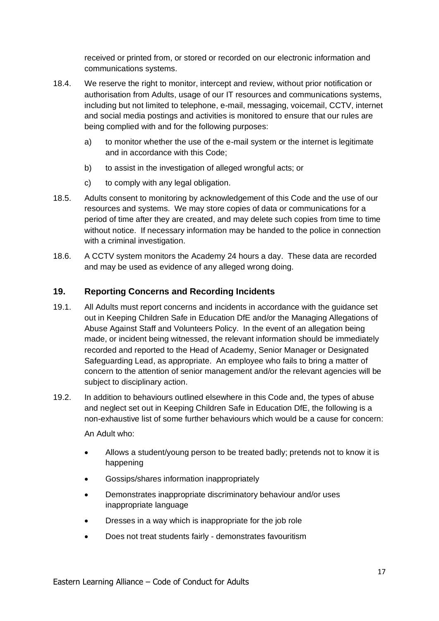received or printed from, or stored or recorded on our electronic information and communications systems.

- 18.4. We reserve the right to monitor, intercept and review, without prior notification or authorisation from Adults, usage of our IT resources and communications systems, including but not limited to telephone, e-mail, messaging, voicemail, CCTV, internet and social media postings and activities is monitored to ensure that our rules are being complied with and for the following purposes:
	- a) to monitor whether the use of the e-mail system or the internet is legitimate and in accordance with this Code;
	- b) to assist in the investigation of alleged wrongful acts; or
	- c) to comply with any legal obligation.
- 18.5. Adults consent to monitoring by acknowledgement of this Code and the use of our resources and systems. We may store copies of data or communications for a period of time after they are created, and may delete such copies from time to time without notice. If necessary information may be handed to the police in connection with a criminal investigation.
- 18.6. A CCTV system monitors the Academy 24 hours a day. These data are recorded and may be used as evidence of any alleged wrong doing.

#### <span id="page-16-0"></span>**19. Reporting Concerns and Recording Incidents**

- 19.1. All Adults must report concerns and incidents in accordance with the guidance set out in Keeping Children Safe in Education DfE and/or the Managing Allegations of Abuse Against Staff and Volunteers Policy. In the event of an allegation being made, or incident being witnessed, the relevant information should be immediately recorded and reported to the Head of Academy, Senior Manager or Designated Safeguarding Lead, as appropriate. An employee who fails to bring a matter of concern to the attention of senior management and/or the relevant agencies will be subject to disciplinary action.
- 19.2. In addition to behaviours outlined elsewhere in this Code and, the types of abuse and neglect set out in Keeping Children Safe in Education DfE, the following is a non-exhaustive list of some further behaviours which would be a cause for concern:

An Adult who:

- Allows a student/young person to be treated badly; pretends not to know it is happening
- Gossips/shares information inappropriately
- Demonstrates inappropriate discriminatory behaviour and/or uses inappropriate language
- Dresses in a way which is inappropriate for the job role
- Does not treat students fairly demonstrates favouritism